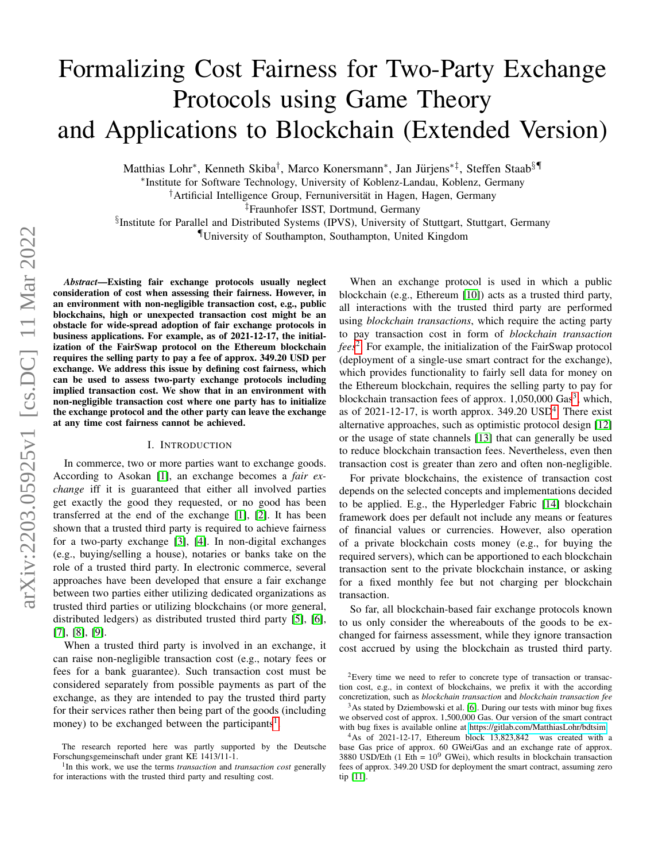# Formalizing Cost Fairness for Two-Party Exchange Protocols using Game Theory and Applications to Blockchain (Extended Version)

Matthias Lohr\*, Kenneth Skiba<sup>†</sup>, Marco Konersmann\*, Jan Jürjens<sup>\*‡</sup>, Steffen Staab<sup>§¶</sup>

∗ Institute for Software Technology, University of Koblenz-Landau, Koblenz, Germany

<sup>†</sup>Artificial Intelligence Group, Fernuniversität in Hagen, Hagen, Germany

‡Fraunhofer ISST, Dortmund, Germany

§ Institute for Parallel and Distributed Systems (IPVS), University of Stuttgart, Stuttgart, Germany

¶University of Southampton, Southampton, United Kingdom

*Abstract*—Existing fair exchange protocols usually neglect consideration of cost when assessing their fairness. However, in an environment with non-negligible transaction cost, e.g., public blockchains, high or unexpected transaction cost might be an obstacle for wide-spread adoption of fair exchange protocols in business applications. For example, as of 2021-12-17, the initialization of the FairSwap protocol on the Ethereum blockchain requires the selling party to pay a fee of approx. 349.20 USD per exchange. We address this issue by defining cost fairness, which can be used to assess two-party exchange protocols including implied transaction cost. We show that in an environment with non-negligible transaction cost where one party has to initialize the exchange protocol and the other party can leave the exchange at any time cost fairness cannot be achieved.

#### I. INTRODUCTION

<span id="page-0-4"></span>In commerce, two or more parties want to exchange goods. According to Asokan [\[1\]](#page-8-0), an exchange becomes a *fair exchange* iff it is guaranteed that either all involved parties get exactly the good they requested, or no good has been transferred at the end of the exchange [\[1\]](#page-8-0), [\[2\]](#page-8-1). It has been shown that a trusted third party is required to achieve fairness for a two-party exchange [\[3\]](#page-8-2), [\[4\]](#page-8-3). In non-digital exchanges (e.g., buying/selling a house), notaries or banks take on the role of a trusted third party. In electronic commerce, several approaches have been developed that ensure a fair exchange between two parties either utilizing dedicated organizations as trusted third parties or utilizing blockchains (or more general, distributed ledgers) as distributed trusted third party [\[5\]](#page-8-4), [\[6\]](#page-8-5), [\[7\]](#page-8-6), [\[8\]](#page-8-7), [\[9\]](#page-8-8).

When a trusted third party is involved in an exchange, it can raise non-negligible transaction cost (e.g., notary fees or fees for a bank guarantee). Such transaction cost must be considered separately from possible payments as part of the exchange, as they are intended to pay the trusted third party for their services rather then being part of the goods (including money) to be exchanged between the participants<sup>[1](#page-0-0)</sup>.

When an exchange protocol is used in which a public blockchain (e.g., Ethereum [\[10\]](#page-8-9)) acts as a trusted third party, all interactions with the trusted third party are performed using *blockchain transactions*, which require the acting party to pay transaction cost in form of *blockchain transaction fees*[2](#page-0-1) . For example, the initialization of the FairSwap protocol (deployment of a single-use smart contract for the exchange), which provides functionality to fairly sell data for money on the Ethereum blockchain, requires the selling party to pay for blockchain transaction fees of approx. 1,050,000 Gas<sup>[3](#page-0-2)</sup>, which, as of  $2021-12-17$ , is worth approx. 3[4](#page-0-3)9.20  $USD<sup>4</sup>$ . There exist alternative approaches, such as optimistic protocol design [\[12\]](#page-8-10) or the usage of state channels [\[13\]](#page-8-11) that can generally be used to reduce blockchain transaction fees. Nevertheless, even then transaction cost is greater than zero and often non-negligible.

For private blockchains, the existence of transaction cost depends on the selected concepts and implementations decided to be applied. E.g., the Hyperledger Fabric [\[14\]](#page-8-12) blockchain framework does per default not include any means or features of financial values or currencies. However, also operation of a private blockchain costs money (e.g., for buying the required servers), which can be apportioned to each blockchain transaction sent to the private blockchain instance, or asking for a fixed monthly fee but not charging per blockchain transaction.

So far, all blockchain-based fair exchange protocols known to us only consider the whereabouts of the goods to be exchanged for fairness assessment, while they ignore transaction cost accrued by using the blockchain as trusted third party.

<span id="page-0-1"></span><sup>2</sup>Every time we need to refer to concrete type of transaction or transaction cost, e.g., in context of blockchains, we prefix it with the according concretization, such as *blockchain transaction* and *blockchain transaction fee*

The research reported here was partly supported by the Deutsche Forschungsgemeinschaft under grant KE 1413/11-1.

<span id="page-0-0"></span><sup>&</sup>lt;sup>1</sup>In this work, we use the terms *transaction* and *transaction cost* generally for interactions with the trusted third party and resulting cost.

<span id="page-0-2"></span> $3As$  stated by Dziembowski et al. [\[6\]](#page-8-5). During our tests with minor bug fixes we observed cost of approx. 1,500,000 Gas. Our version of the smart contract with bug fixes is available online at [https://gitlab.com/MatthiasLohr/bdtsim.](https://gitlab.com/MatthiasLohr/bdtsim)

<span id="page-0-3"></span><sup>4</sup>As of 2021-12-17, Ethereum block 13,823,842 was created with a base Gas price of approx. 60 GWei/Gas and an exchange rate of approx.  $3880$  USD/Eth (1 Eth =  $10^9$  GWei), which results in blockchain transaction fees of approx. 349.20 USD for deployment the smart contract, assuming zero tip [\[11\]](#page-8-13).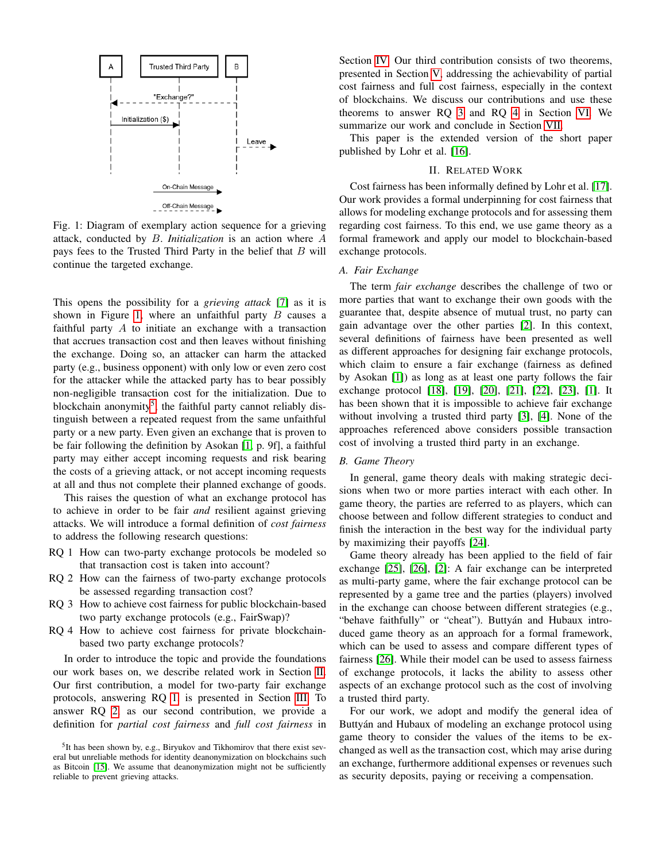<span id="page-1-0"></span>

Fig. 1: Diagram of exemplary action sequence for a grieving attack, conducted by B. *Initialization* is an action where A pays fees to the Trusted Third Party in the belief that  $B$  will continue the targeted exchange.

This opens the possibility for a *grieving attack* [\[7\]](#page-8-6) as it is shown in Figure [1,](#page-1-0) where an unfaithful party  $B$  causes a faithful party A to initiate an exchange with a transaction that accrues transaction cost and then leaves without finishing the exchange. Doing so, an attacker can harm the attacked party (e.g., business opponent) with only low or even zero cost for the attacker while the attacked party has to bear possibly non-negligible transaction cost for the initialization. Due to blockchain anonymity<sup>[5](#page-1-1)</sup>, the faithful party cannot reliably distinguish between a repeated request from the same unfaithful party or a new party. Even given an exchange that is proven to be fair following the definition by Asokan [\[1,](#page-8-0) p. 9f], a faithful party may either accept incoming requests and risk bearing the costs of a grieving attack, or not accept incoming requests at all and thus not complete their planned exchange of goods.

This raises the question of what an exchange protocol has to achieve in order to be fair *and* resilient against grieving attacks. We will introduce a formal definition of *cost fairness* to address the following research questions:

- <span id="page-1-3"></span>RQ 1 How can two-party exchange protocols be modeled so that transaction cost is taken into account?
- <span id="page-1-4"></span>RQ 2 How can the fairness of two-party exchange protocols be assessed regarding transaction cost?
- <span id="page-1-5"></span>RQ 3 How to achieve cost fairness for public blockchain-based two party exchange protocols (e.g., FairSwap)?
- <span id="page-1-6"></span>RQ 4 How to achieve cost fairness for private blockchainbased two party exchange protocols?

In order to introduce the topic and provide the foundations our work bases on, we describe related work in Section [II.](#page-1-2) Our first contribution, a model for two-party fair exchange protocols, answering RQ [1,](#page-1-3) is presented in Section [III.](#page-2-0) To answer RQ [2,](#page-1-4) as our second contribution, we provide a definition for *partial cost fairness* and *full cost fairness* in Section [IV.](#page-5-0) Our third contribution consists of two theorems, presented in Section [V,](#page-5-1) addressing the achievability of partial cost fairness and full cost fairness, especially in the context of blockchains. We discuss our contributions and use these theorems to answer RQ [3](#page-1-5) and RQ [4](#page-1-6) in Section [VI.](#page-6-0) We summarize our work and conclude in Section [VII.](#page-7-0)

This paper is the extended version of the short paper published by Lohr et al. [\[16\]](#page-8-15).

# II. RELATED WORK

<span id="page-1-2"></span>Cost fairness has been informally defined by Lohr et al. [\[17\]](#page-8-16). Our work provides a formal underpinning for cost fairness that allows for modeling exchange protocols and for assessing them regarding cost fairness. To this end, we use game theory as a formal framework and apply our model to blockchain-based exchange protocols.

# *A. Fair Exchange*

The term *fair exchange* describes the challenge of two or more parties that want to exchange their own goods with the guarantee that, despite absence of mutual trust, no party can gain advantage over the other parties [\[2\]](#page-8-1). In this context, several definitions of fairness have been presented as well as different approaches for designing fair exchange protocols, which claim to ensure a fair exchange (fairness as defined by Asokan [\[1\]](#page-8-0)) as long as at least one party follows the fair exchange protocol [\[18\]](#page-8-17), [\[19\]](#page-8-18), [\[20\]](#page-8-19), [\[21\]](#page-8-20), [\[22\]](#page-8-21), [\[23\]](#page-8-22), [\[1\]](#page-8-0). It has been shown that it is impossible to achieve fair exchange without involving a trusted third party [\[3\]](#page-8-2), [\[4\]](#page-8-3). None of the approaches referenced above considers possible transaction cost of involving a trusted third party in an exchange.

#### *B. Game Theory*

In general, game theory deals with making strategic decisions when two or more parties interact with each other. In game theory, the parties are referred to as players, which can choose between and follow different strategies to conduct and finish the interaction in the best way for the individual party by maximizing their payoffs [\[24\]](#page-8-23).

Game theory already has been applied to the field of fair exchange [\[25\]](#page-8-24), [\[26\]](#page-8-25), [\[2\]](#page-8-1): A fair exchange can be interpreted as multi-party game, where the fair exchange protocol can be represented by a game tree and the parties (players) involved in the exchange can choose between different strategies (e.g., "behave faithfully" or "cheat"). Buttyán and Hubaux introduced game theory as an approach for a formal framework, which can be used to assess and compare different types of fairness [\[26\]](#page-8-25). While their model can be used to assess fairness of exchange protocols, it lacks the ability to assess other aspects of an exchange protocol such as the cost of involving a trusted third party.

For our work, we adopt and modify the general idea of Buttyán and Hubaux of modeling an exchange protocol using game theory to consider the values of the items to be exchanged as well as the transaction cost, which may arise during an exchange, furthermore additional expenses or revenues such as security deposits, paying or receiving a compensation.

<span id="page-1-1"></span><sup>&</sup>lt;sup>5</sup>It has been shown by, e.g., Biryukov and Tikhomirov that there exist several but unreliable methods for identity deanonymization on blockchains such as Bitcoin [\[15\]](#page-8-14). We assume that deanonymization might not be sufficiently reliable to prevent grieving attacks.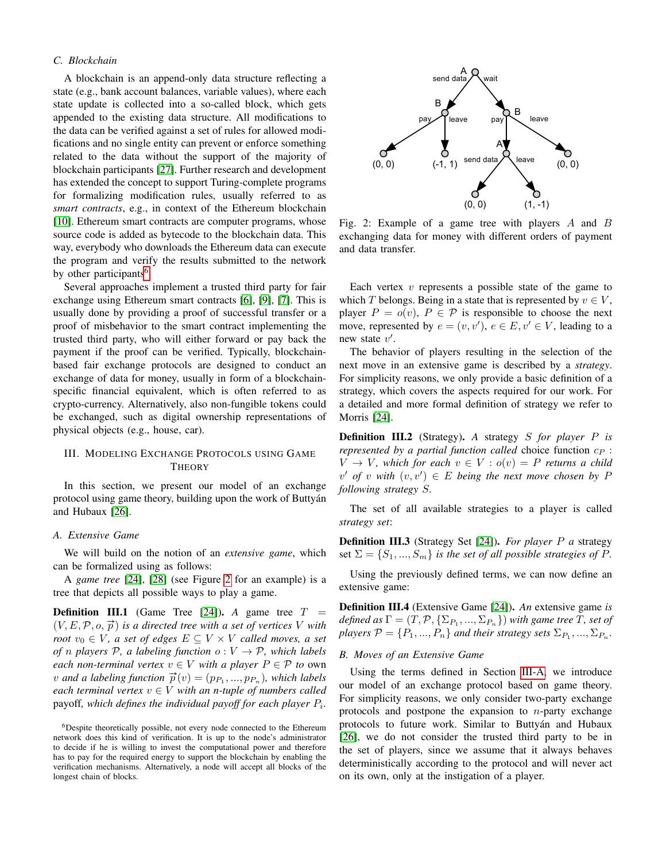# *C. Blockchain*

A blockchain is an append-only data structure reflecting a state (e.g., bank account balances, variable values), where each state update is collected into a so-called block, which gets appended to the existing data structure. All modifications to the data can be verified against a set of rules for allowed modifications and no single entity can prevent or enforce something related to the data without the support of the majority of blockchain participants [\[27\]](#page-8-26). Further research and development has extended the concept to support Turing-complete programs for formalizing modification rules, usually referred to as *smart contracts*, e.g., in context of the Ethereum blockchain [\[10\]](#page-8-9). Ethereum smart contracts are computer programs, whose source code is added as bytecode to the blockchain data. This way, everybody who downloads the Ethereum data can execute the program and verify the results submitted to the network by other participants<sup>[6](#page-2-1)</sup>.

Several approaches implement a trusted third party for fair exchange using Ethereum smart contracts [\[6\]](#page-8-5), [\[9\]](#page-8-8), [\[7\]](#page-8-6). This is usually done by providing a proof of successful transfer or a proof of misbehavior to the smart contract implementing the trusted third party, who will either forward or pay back the payment if the proof can be verified. Typically, blockchainbased fair exchange protocols are designed to conduct an exchange of data for money, usually in form of a blockchainspecific financial equivalent, which is often referred to as crypto-currency. Alternatively, also non-fungible tokens could be exchanged, such as digital ownership representations of physical objects (e.g., house, car).

# <span id="page-2-0"></span>III. MODELING EXCHANGE PROTOCOLS USING GAME **THEORY**

In this section, we present our model of an exchange protocol using game theory, building upon the work of Buttyan´ and Hubaux [\[26\]](#page-8-25).

### <span id="page-2-3"></span>*A. Extensive Game*

We will build on the notion of an *extensive game*, which can be formalized using as follows:

A *game tree* [\[24\]](#page-8-23), [\[28\]](#page-8-27) (see Figure [2](#page-2-2) for an example) is a tree that depicts all possible ways to play a game.

<span id="page-2-4"></span>**Definition III.1** (Game Tree [\[24\]](#page-8-23)). *A* game tree  $T =$  $(V, E, \mathcal{P}, o, \vec{p})$  *is a directed tree with a set of vertices* V *with root*  $v_0 \in V$ *, a set of edges*  $E \subseteq V \times V$  *called moves, a set of n* players  $P$ , *a* labeling function  $o: V \rightarrow P$ , which labels *each non-terminal vertex*  $v \in V$  *with a player*  $P \in \mathcal{P}$  *to* own  $v$  *and a labeling function*  $\vec{p}(v) = (p_{P_1}, ..., p_{P_n})$ , which labels *each terminal vertex*  $v \in V$  *with an n-tuple of numbers called* payoff*, which defines the individual payoff for each player* P<sup>i</sup> *.*

<span id="page-2-2"></span>

Fig. 2: Example of a game tree with players A and B exchanging data for money with different orders of payment and data transfer.

Each vertex  $v$  represents a possible state of the game to which T belongs. Being in a state that is represented by  $v \in V$ , player  $P = o(v)$ ,  $P \in \mathcal{P}$  is responsible to choose the next move, represented by  $e = (v, v')$ ,  $e \in E$ ,  $v' \in V$ , leading to a new state  $v'$ .

The behavior of players resulting in the selection of the next move in an extensive game is described by a *strategy*. For simplicity reasons, we only provide a basic definition of a strategy, which covers the aspects required for our work. For a detailed and more formal definition of strategy we refer to Morris [\[24\]](#page-8-23).

Definition III.2 (Strategy). *A* strategy S *for player* P *is represented by a partial function called* choice function  $c_P$ :  $V \rightarrow V$ , which for each  $v \in V : o(v) = P$  returns a child  $v'$  of v with  $(v, v') \in E$  being the next move chosen by P *following strategy* S*.*

The set of all available strategies to a player is called *strategy set*:

Definition III.3 (Strategy Set [\[24\]](#page-8-23)). *For player* P *a* strategy set  $\Sigma = \{S_1, ..., S_m\}$  *is the set of all possible strategies of P.* 

Using the previously defined terms, we can now define an extensive game:

Definition III.4 (Extensive Game [\[24\]](#page-8-23)). *An* extensive game *is*  $\emph{defined as $\Gamma=(T,\mathcal{P},\{\Sigma_{P_1},...,\Sigma_{P_n}\})$ with game tree $T$, set of$ *players*  $P = \{P_1, ..., P_n\}$  and their strategy sets  $\Sigma_{P_1}, ..., \Sigma_{P_n}$ .

### *B. Moves of an Extensive Game*

Using the terms defined in Section [III-A,](#page-2-3) we introduce our model of an exchange protocol based on game theory. For simplicity reasons, we only consider two-party exchange protocols and postpone the expansion to  $n$ -party exchange protocols to future work. Similar to Buttyán and Hubaux [\[26\]](#page-8-25), we do not consider the trusted third party to be in the set of players, since we assume that it always behaves deterministically according to the protocol and will never act on its own, only at the instigation of a player.

<span id="page-2-1"></span> $6$ Despite theoretically possible, not every node connected to the Ethereum network does this kind of verification. It is up to the node's administrator to decide if he is willing to invest the computational power and therefore has to pay for the required energy to support the blockchain by enabling the verification mechanisms. Alternatively, a node will accept all blocks of the longest chain of blocks.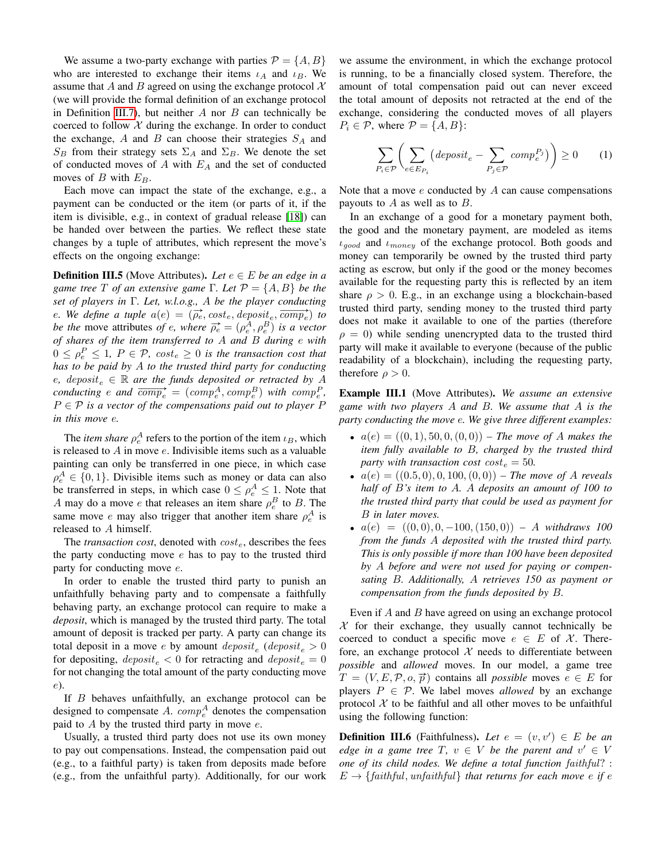We assume a two-party exchange with parties  $\mathcal{P} = \{A, B\}$ who are interested to exchange their items  $\iota_A$  and  $\iota_B$ . We assume that A and B agreed on using the exchange protocol  $\mathcal{X}$ (we will provide the formal definition of an exchange protocol in Definition [III.7\)](#page-4-0), but neither  $A$  nor  $B$  can technically be coerced to follow  $X$  during the exchange. In order to conduct the exchange, A and B can choose their strategies  $S_A$  and  $S_B$  from their strategy sets  $\Sigma_A$  and  $\Sigma_B$ . We denote the set of conducted moves of  $A$  with  $E_A$  and the set of conducted moves of B with  $E_B$ .

Each move can impact the state of the exchange, e.g., a payment can be conducted or the item (or parts of it, if the item is divisible, e.g., in context of gradual release [\[18\]](#page-8-17)) can be handed over between the parties. We reflect these state changes by a tuple of attributes, which represent the move's effects on the ongoing exchange:

**Definition III.5** (Move Attributes). Let  $e \in E$  be an edge in a *game tree*  $T$  *of an extensive game*  $\Gamma$ *. Let*  $\mathcal{P} = \{A, B\}$  *be the set of players in* Γ*. Let, w.l.o.g.,* A *be the player conducting* e. We define a tuple  $a(e) = (\overline{\rho_e}, cost_e, deposit_e, \overline{comp_e})$  to *be the move attributes of e, where*  $\overrightarrow{\rho_e} = (\rho_e^A, \rho_e^B)$  *is a vector of shares of the item transferred to* A *and* B *during* e *with*  $0 \le \rho_e^P \le 1$ ,  $P \in \mathcal{P}$ ,  $cost_e \ge 0$  *is the transaction cost that has to be paid by* A *to the trusted third party for conducting* e, deposit<sub>e</sub>  $\in \mathbb{R}$  are the funds deposited or retracted by A conducting e and  $\overline{comp_e} = (comp_e^A, comp_e^B)$  with  $comp_e^P$ , P ∈ P *is a vector of the compensations paid out to player* P *in this move* e*.*

The *item share*  $\rho_e^A$  refers to the portion of the item  $\iota_B$ , which is released to  $A$  in move  $e$ . Indivisible items such as a valuable painting can only be transferred in one piece, in which case  $\rho_e^A \in \{0, 1\}$ . Divisible items such as money or data can also be transferred in steps, in which case  $0 \le \rho_e^A \le 1$ . Note that A may do a move e that releases an item share  $\rho_e^B$  to B. The same move *e* may also trigger that another item share  $\rho_e^A$  is released to A himself.

The *transaction cost*, denoted with  $cost_e$ , describes the fees the party conducting move  $e$  has to pay to the trusted third party for conducting move e.

In order to enable the trusted third party to punish an unfaithfully behaving party and to compensate a faithfully behaving party, an exchange protocol can require to make a *deposit*, which is managed by the trusted third party. The total amount of deposit is tracked per party. A party can change its total deposit in a move e by amount  $\text{deposit}_e$  ( $\text{deposit}_e > 0$ for depositing,  $deposit_e < 0$  for retracting and  $deposit_e = 0$ for not changing the total amount of the party conducting move e).

If B behaves unfaithfully, an exchange protocol can be designed to compensate A.  $comp_e^A$  denotes the compensation paid to  $A$  by the trusted third party in move  $e$ .

Usually, a trusted third party does not use its own money to pay out compensations. Instead, the compensation paid out (e.g., to a faithful party) is taken from deposits made before (e.g., from the unfaithful party). Additionally, for our work we assume the environment, in which the exchange protocol is running, to be a financially closed system. Therefore, the amount of total compensation paid out can never exceed the total amount of deposits not retracted at the end of the exchange, considering the conducted moves of all players  $P_i \in \mathcal{P}$ , where  $\mathcal{P} = \{A, B\}$ :

<span id="page-3-0"></span>
$$
\sum_{P_i \in \mathcal{P}} \left( \sum_{e \in E_{P_i}} \left( \text{deposit}_{e} - \sum_{P_j \in \mathcal{P}} \text{comp}_e^{P_j} \right) \right) \ge 0 \tag{1}
$$

Note that a move  $e$  conducted by  $A$  can cause compensations payouts to  $A$  as well as to  $B$ .

In an exchange of a good for a monetary payment both, the good and the monetary payment, are modeled as items  $\iota_{good}$  and  $\iota_{money}$  of the exchange protocol. Both goods and money can temporarily be owned by the trusted third party acting as escrow, but only if the good or the money becomes available for the requesting party this is reflected by an item share  $\rho > 0$ . E.g., in an exchange using a blockchain-based trusted third party, sending money to the trusted third party does not make it available to one of the parties (therefore  $\rho = 0$ ) while sending unencrypted data to the trusted third party will make it available to everyone (because of the public readability of a blockchain), including the requesting party, therefore  $\rho > 0$ .

Example III.1 (Move Attributes). *We assume an extensive game with two players* A *and* B*. We assume that* A *is the party conducting the move* e*. We give three different examples:*

- $a(e) = ((0, 1), 50, 0, (0, 0))$  The move of A makes the *item fully available to* B*, charged by the trusted third party with transaction cost*  $cost_e = 50$ .
- $a(e) = ((0.5, 0), 0, 100, (0, 0))$  The move of A reveals *half of* B*'s item to* A*.* A *deposits an amount of 100 to the trusted third party that could be used as payment for* B *in later moves.*
- $a(e) = ((0, 0), 0, -100, (150, 0)) A$  *withdraws 100 from the funds* A *deposited with the trusted third party. This is only possible if more than 100 have been deposited by* A *before and were not used for paying or compensating* B*. Additionally,* A *retrieves 150 as payment or compensation from the funds deposited by* B*.*

Even if A and B have agreed on using an exchange protocol  $X$  for their exchange, they usually cannot technically be coerced to conduct a specific move  $e \in E$  of X. Therefore, an exchange protocol  $X$  needs to differentiate between *possible* and *allowed* moves. In our model, a game tree  $T = (V, E, \mathcal{P}, o, \vec{p})$  contains all *possible* moves  $e \in E$  for players  $P \in \mathcal{P}$ . We label moves *allowed* by an exchange protocol  $X$  to be faithful and all other moves to be unfaithful using the following function:

**Definition III.6** (Faithfulness). Let  $e = (v, v') \in E$  be an *edge in a game tree*  $T, v \in V$  *be the parent and*  $v' \in V$ *one of its child nodes. We define a total function* faithful? :  $E \rightarrow \{faithful, unfaithful\}$  *that returns for each move e if e*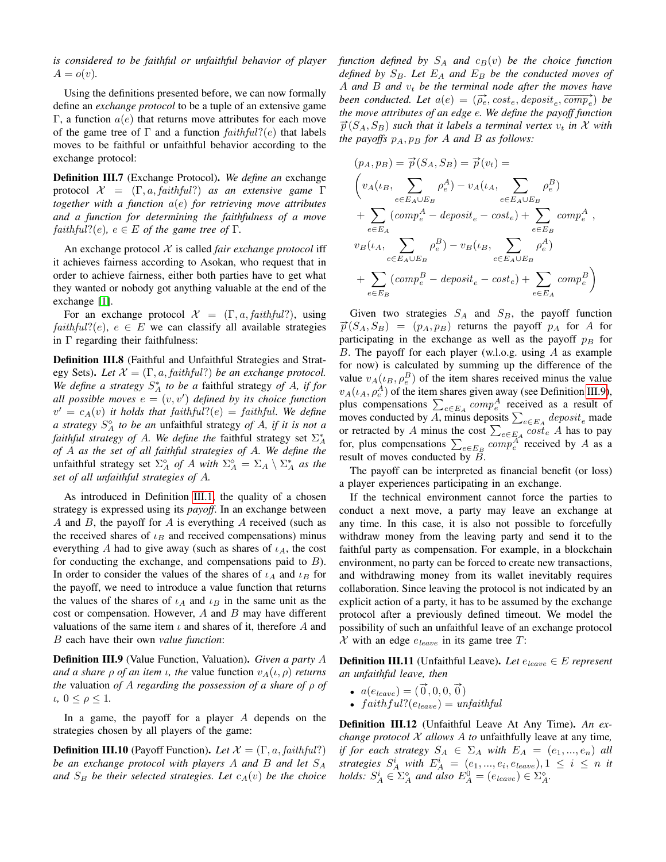*is considered to be faithful or unfaithful behavior of player*  $A = o(v)$ .

Using the definitions presented before, we can now formally define an *exchange protocol* to be a tuple of an extensive game Γ, a function  $a(e)$  that returns move attributes for each move of the game tree of  $\Gamma$  and a function  $faithful?(e)$  that labels moves to be faithful or unfaithful behavior according to the exchange protocol:

<span id="page-4-0"></span>Definition III.7 (Exchange Protocol). *We define an* exchange protocol X = (Γ, a, faithful?) *as an extensive game* Γ *together with a function* a(e) *for retrieving move attributes and a function for determining the faithfulness of a move*  $faithful?(e)$ ,  $e \in E$  *of the game tree of*  $\Gamma$ .

An exchange protocol  $X$  is called *fair exchange protocol* iff it achieves fairness according to Asokan, who request that in order to achieve fairness, either both parties have to get what they wanted or nobody got anything valuable at the end of the exchange [\[1\]](#page-8-0).

For an exchange protocol  $\mathcal{X} = (\Gamma, a, \text{faithful}?)$ , using  $faithful?(e)$ ,  $e \in E$  we can classify all available strategies in  $\Gamma$  regarding their faithfulness:

Definition III.8 (Faithful and Unfaithful Strategies and Strategy Sets). Let  $\mathcal{X} = (\Gamma, a, \text{faithful?)}$  be an exchange protocol. *We define a strategy* S ∗ <sup>A</sup> *to be a* faithful strategy *of* A*, if for* all possible moves  $e = (v, v')$  defined by its choice function  $v' = c_A(v)$  *it holds that faithful*?(e) = *faithful. We define a strategy* S <sup>A</sup> *to be an* unfaithful strategy *of* A*, if it is not a faithful strategy of A. We define the faithful strategy set*  $\Sigma_A^*$ *of* A *as the set of all faithful strategies of* A*. We define the* unfaithful strategy set  $\Sigma_A^{\diamond}$  *of A with*  $\Sigma_A^{\diamond} = \Sigma_A \setminus \Sigma_A^*$  *as the set of all unfaithful strategies of* A*.*

As introduced in Definition [III.1,](#page-2-4) the quality of a chosen strategy is expressed using its *payoff*. In an exchange between A and B, the payoff for A is everything A received (such as the received shares of  $\iota_B$  and received compensations) minus everything A had to give away (such as shares of  $\iota_A$ , the cost for conducting the exchange, and compensations paid to  $B$ ). In order to consider the values of the shares of  $\iota_A$  and  $\iota_B$  for the payoff, we need to introduce a value function that returns the values of the shares of  $\iota_A$  and  $\iota_B$  in the same unit as the cost or compensation. However,  $A$  and  $B$  may have different valuations of the same item  $\iota$  and shares of it, therefore A and B each have their own *value function*:

<span id="page-4-1"></span>Definition III.9 (Value Function, Valuation). *Given a party* A *and a share*  $\rho$  *of an item ι, the value function*  $v_A(t, \rho)$  *returns the* valuation *of* A *regarding the possession of a share of* ρ *of*  $\iota$ *,*  $0 \leq \rho \leq 1$ .

In a game, the payoff for a player A depends on the strategies chosen by all players of the game:

<span id="page-4-2"></span>**Definition III.10** (Payoff Function). *Let*  $\mathcal{X} = (\Gamma, a, \text{faithful?})$ *be an exchange protocol with players* A *and* B *and let* S<sup>A</sup> and  $S_B$  be their selected strategies. Let  $c_A(v)$  be the choice *function defined by*  $S_A$  *and*  $c_B(v)$  *be the choice function defined by*  $S_B$ *. Let*  $E_A$  *and*  $E_B$  *be the conducted moves of* A and B and  $v_t$  be the terminal node after the moves have been conducted. Let  $a(e) = (\overrightarrow{\rho_e}, cost_e, deposit_e, \overrightarrow{comp_e})$  be *the move attributes of an edge* e*. We define the payoff function*  $\vec{p}(S_A, S_B)$  *such that it labels a terminal vertex*  $v_t$  *in* X *with the payoffs*  $p_A$ ,  $p_B$  *for* A *and* B *as follows:* 

$$
(p_A, p_B) = \overrightarrow{p}(S_A, S_B) = \overrightarrow{p}(v_t) =
$$
\n
$$
\left(v_A(\iota_B, \sum_{e \in E_A \cup E_B} \rho_e^A) - v_A(\iota_A, \sum_{e \in E_A \cup E_B} \rho_e^B)\right)
$$
\n
$$
+ \sum_{e \in E_A} (comp_e^A - deposit_e - cost_e) + \sum_{e \in E_B} comp_e^A,
$$
\n
$$
v_B(\iota_A, \sum_{e \in E_A \cup E_B} \rho_e^B) - v_B(\iota_B, \sum_{e \in E_A \cup E_B} \rho_e^A)
$$
\n
$$
+ \sum_{e \in E_B} (comp_e^B - deposit_e - cost_e) + \sum_{e \in E_A} comp_e^B
$$

Given two strategies  $S_A$  and  $S_B$ , the payoff function  $\vec{p}(S_A, S_B) = (p_A, p_B)$  returns the payoff  $p_A$  for A for participating in the exchange as well as the payoff  $p_B$  for B. The payoff for each player (w.l.o.g. using A as example for now) is calculated by summing up the difference of the value  $v_A(\iota_B, \rho_e^B)$  of the item shares received minus the value  $v_A(\iota_A, \rho_e^A)$  of the item shares given away (see Definition [III.9\)](#page-4-1), plus compensations  $\sum_{e \in E_A} comp_e^A$  received as a result of moves conducted by A, minus deposits  $\sum_{e \in E_A} \text{deposit}_e$  made or retracted by A minus the cost  $\sum_{e \in E_A} cost_e$  A has to pay for, plus compensations  $\sum_{e \in E_B} comp_e^A$  received by A as a result of moves conducted by  $\overline{B}$ .

The payoff can be interpreted as financial benefit (or loss) a player experiences participating in an exchange.

If the technical environment cannot force the parties to conduct a next move, a party may leave an exchange at any time. In this case, it is also not possible to forcefully withdraw money from the leaving party and send it to the faithful party as compensation. For example, in a blockchain environment, no party can be forced to create new transactions, and withdrawing money from its wallet inevitably requires collaboration. Since leaving the protocol is not indicated by an explicit action of a party, it has to be assumed by the exchange protocol after a previously defined timeout. We model the possibility of such an unfaithful leave of an exchange protocol X with an edge  $e_{leave}$  in its game tree T:

Definition III.11 (Unfaithful Leave). Let  $e_{leave} \in E$  represent *an unfaithful leave, then*

- $a(e_{leave}) = (\vec{0}, 0, 0, \vec{0})$
- faithful? $(e_{leave}) = \text{unfaithful}$

Definition III.12 (Unfaithful Leave At Any Time). *An exchange protocol* X *allows* A *to* unfaithfully leave at any time*, if for each strategy*  $S_A \in \Sigma_A$  *with*  $E_A = (e_1, ..., e_n)$  *all* strategies  $S_A^i$  with  $E_A^i = (e_1, ..., e_i, e_{leave}), 1 \leq i \leq n$  it *holds:*  $S_A^i \in \Sigma_A^{\infty}$  *and also*  $E_A^0 = (e_{leave}) \in \Sigma_A^{\infty}$ *.*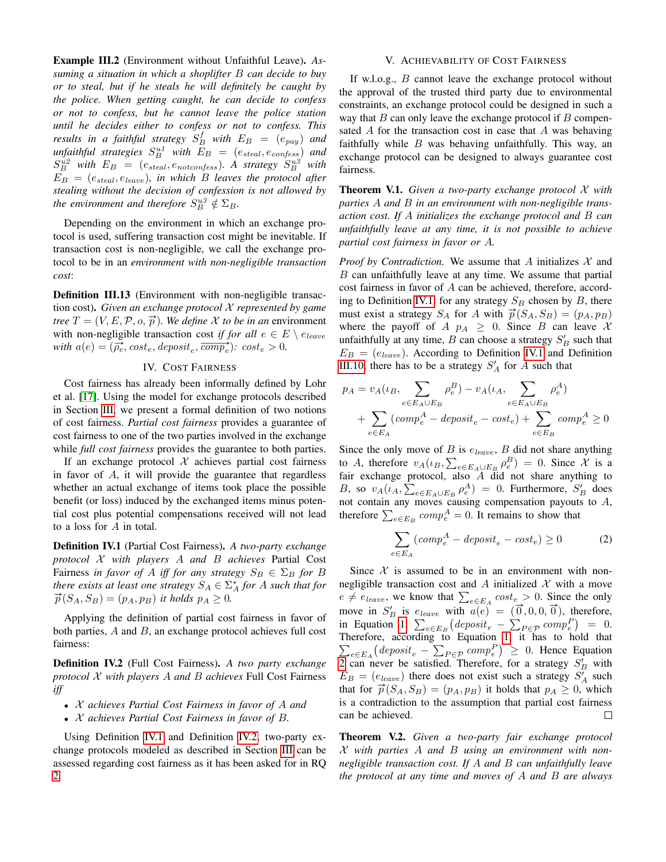Example III.2 (Environment without Unfaithful Leave). *Assuming a situation in which a shoplifter* B *can decide to buy or to steal, but if he steals he will definitely be caught by the police. When getting caught, he can decide to confess or not to confess, but he cannot leave the police station until he decides either to confess or not to confess. This results in a faithful strategy*  $S_B^f$  *with*  $E_B$  =  $(e_{pay})$  *and*  $\triangle$  *unfaithful strategies*  $S_B^{u1}$  with  $E_B$  =  $(e_{\text{steal}}, e_{\text{confess}})$  and  $S_B^{u2}$  with  $E_B = (e_{\text{steal}}, e_{\text{notconfess}})$ . A strategy  $S_B^{u3}$  with  $E_B = (e_{\text{steal}}, e_{\text{leave}})$ , in which B leaves the protocol after *stealing without the decision of confession is not allowed by the environment and therefore*  $S_B^{u3} \notin \Sigma_B$ .

Depending on the environment in which an exchange protocol is used, suffering transaction cost might be inevitable. If transaction cost is non-negligible, we call the exchange protocol to be in an *environment with non-negligible transaction cost*:

Definition III.13 (Environment with non-negligible transaction cost). *Given an exchange protocol* X *represented by game tree*  $T = (V, E, \mathcal{P}, o, \vec{p})$ *. We define* X *to be in an* environment with non-negligible transaction cost *if for all*  $e \in E \setminus e_{leave}$ with  $a(e) = (\overline{\rho_e}$ ,  $cost_e$ ,  $deposit_e$ ,  $\overline{comp_e}$ ):  $cost_e > 0$ .

# IV. COST FAIRNESS

<span id="page-5-0"></span>Cost fairness has already been informally defined by Lohr et al. [\[17\]](#page-8-16). Using the model for exchange protocols described in Section [III,](#page-2-0) we present a formal definition of two notions of cost fairness. *Partial cost fairness* provides a guarantee of cost fairness to one of the two parties involved in the exchange while *full cost fairness* provides the guarantee to both parties.

If an exchange protocol  $X$  achieves partial cost fairness in favor of A, it will provide the guarantee that regardless whether an actual exchange of items took place the possible benefit (or loss) induced by the exchanged items minus potential cost plus potential compensations received will not lead to a loss for  $A$  in total.

<span id="page-5-2"></span>Definition IV.1 (Partial Cost Fairness). *A two-party exchange protocol* X *with players* A *and* B *achieves* Partial Cost Fairness *in favor of* A *iff for any strategy*  $S_B \in \Sigma_B$  *for* B *there exists at least one strategy*  $S_A \in \Sigma_A^*$  *for A such that for*  $\vec{p}(S_A, S_B) = (p_A, p_B)$  *it holds*  $p_A \geq 0$ *.* 

Applying the definition of partial cost fairness in favor of both parties, A and B, an exchange protocol achieves full cost fairness:

<span id="page-5-3"></span>Definition IV.2 (Full Cost Fairness). *A two party exchange protocol* X *with players* A *and* B *achieves* Full Cost Fairness *iff*

- X *achieves Partial Cost Fairness in favor of* A *and*
- X *achieves Partial Cost Fairness in favor of* B*.*

Using Definition [IV.1](#page-5-2) and Definition [IV.2,](#page-5-3) two-party exchange protocols modeled as described in Section [III](#page-2-0) can be assessed regarding cost fairness as it has been asked for in RQ [2.](#page-1-4)

# V. ACHIEVABILITY OF COST FAIRNESS

<span id="page-5-1"></span>If w.l.o.g., B cannot leave the exchange protocol without the approval of the trusted third party due to environmental constraints, an exchange protocol could be designed in such a way that  $B$  can only leave the exchange protocol if  $B$  compensated A for the transaction cost in case that A was behaving faithfully while  $B$  was behaving unfaithfully. This way, an exchange protocol can be designed to always guarantee cost fairness.

<span id="page-5-5"></span>Theorem V.1. *Given a two-party exchange protocol* X *with parties* A *and* B *in an environment with non-negligible transaction cost. If* A *initializes the exchange protocol and* B *can unfaithfully leave at any time, it is not possible to achieve partial cost fairness in favor or* A*.*

*Proof by Contradiction.* We assume that A initializes  $X$  and B can unfaithfully leave at any time. We assume that partial cost fairness in favor of A can be achieved, therefore, accord-ing to Definition [IV.1,](#page-5-2) for any strategy  $S_B$  chosen by B, there must exist a strategy  $S_A$  for A with  $\vec{p}(S_A, S_B) = (p_A, p_B)$ where the payoff of A  $p_A \geq 0$ . Since B can leave X unfaithfully at any time,  $B$  can choose a strategy  $S'_B$  such that  $E_B = (e_{leave})$ . According to Definition [IV.1](#page-5-2) and Definition [III.10,](#page-4-2) there has to be a strategy  $S'_A$  for A such that

$$
p_A = v_A(\iota_B, \sum_{e \in E_A \cup E_B} \rho_e^B) - v_A(\iota_A, \sum_{e \in E_A \cup E_B} \rho_e^A)
$$
  
+ 
$$
\sum_{e \in E_A} (comp_e^A - deposit_e - cost_e) + \sum_{e \in E_B} comp_e^A \ge 0
$$

Since the only move of B is  $e_{leave}$ , B did not share anything to A, therefore  $v_A(\iota_B, \sum_{e \in E_A \cup E_B} \rho_e^B) = 0$ . Since X is a fair exchange protocol, also  $A$  did not share anything to B, so  $v_A(\iota_A, \sum_{e \in E_A \cup E_B} \rho_e^A) = 0$ . Furthermore,  $S'_B$  does not contain any moves causing compensation payouts to  $A$ , therefore  $\sum_{e \in E_B} comp_e^A = 0$ . It remains to show that

<span id="page-5-4"></span>
$$
\sum_{e \in E_A} (comp_e^A - deposit_e - cost_e) \ge 0 \tag{2}
$$

Since  $X$  is assumed to be in an environment with nonnegligible transaction cost and A initialized  $X$  with a move  $e \neq e_{leave}$ , we know that  $\sum_{e \in E_A} cost_e > 0$ . Since the only  $e \neq e_{leave}$ , we know that  $\angle_{e \in E_A} \cos \omega_e > 0$ . Since the only<br>move in  $S'_B$  is  $e_{leave}$  with  $a(e) = (\vec{0}, 0, 0, \vec{0})$ , therefore, in Equation [1,](#page-3-0)  $\sum_{e \in E_B} (degree)$   $= \sum_{P \in \mathcal{P}} comp_e^P$   $= 0$ . Therefore, according to Equation [1,](#page-3-0) it has to hold that  $\sum_{e \in E_A} (degree - \sum_{P \in \mathcal{P}} comp_e^P) \ge 0$ . Hence Equation [2](#page-5-4) can never be satisfied. Therefore, for a strategy  $S'_B$  with  $E_B = (e_{leave})$  there does not exist such a strategy  $S'_A$  such that for  $\vec{p}(S_A, S_B) = (p_A, p_B)$  it holds that  $p_A \geq 0$ , which is a contradiction to the assumption that partial cost fairness can be achieved.  $\Box$ 

Theorem V.2. *Given a two-party fair exchange protocol* X *with parties* A *and* B *using an environment with nonnegligible transaction cost. If* A *and* B *can unfaithfully leave the protocol at any time and moves of* A *and* B *are always*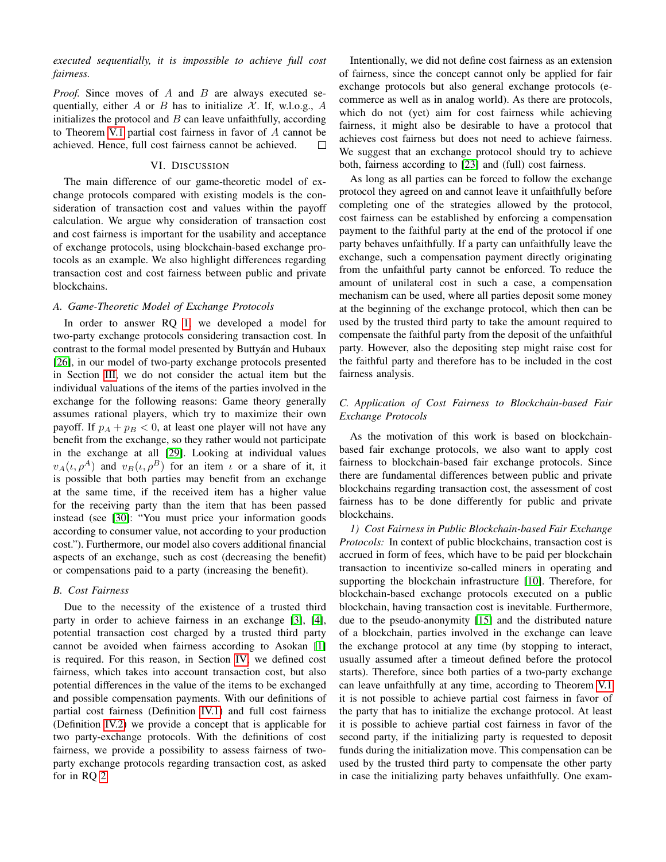*executed sequentially, it is impossible to achieve full cost fairness.*

*Proof.* Since moves of A and B are always executed sequentially, either A or B has to initialize X. If, w.l.o.g., A initializes the protocol and  $B$  can leave unfaithfully, according to Theorem [V.1](#page-5-5) partial cost fairness in favor of A cannot be achieved. Hence, full cost fairness cannot be achieved.  $\Box$ 

#### VI. DISCUSSION

<span id="page-6-0"></span>The main difference of our game-theoretic model of exchange protocols compared with existing models is the consideration of transaction cost and values within the payoff calculation. We argue why consideration of transaction cost and cost fairness is important for the usability and acceptance of exchange protocols, using blockchain-based exchange protocols as an example. We also highlight differences regarding transaction cost and cost fairness between public and private blockchains.

#### *A. Game-Theoretic Model of Exchange Protocols*

In order to answer RQ [1,](#page-1-3) we developed a model for two-party exchange protocols considering transaction cost. In contrast to the formal model presented by Buttyán and Hubaux [\[26\]](#page-8-25), in our model of two-party exchange protocols presented in Section [III,](#page-2-0) we do not consider the actual item but the individual valuations of the items of the parties involved in the exchange for the following reasons: Game theory generally assumes rational players, which try to maximize their own payoff. If  $p_A + p_B < 0$ , at least one player will not have any benefit from the exchange, so they rather would not participate in the exchange at all [\[29\]](#page-8-28). Looking at individual values  $v_A(\iota, \rho^A)$  and  $v_B(\iota, \rho^B)$  for an item  $\iota$  or a share of it, it is possible that both parties may benefit from an exchange at the same time, if the received item has a higher value for the receiving party than the item that has been passed instead (see [\[30\]](#page-8-29): "You must price your information goods according to consumer value, not according to your production cost."). Furthermore, our model also covers additional financial aspects of an exchange, such as cost (decreasing the benefit) or compensations paid to a party (increasing the benefit).

#### *B. Cost Fairness*

Due to the necessity of the existence of a trusted third party in order to achieve fairness in an exchange [\[3\]](#page-8-2), [\[4\]](#page-8-3), potential transaction cost charged by a trusted third party cannot be avoided when fairness according to Asokan [\[1\]](#page-8-0) is required. For this reason, in Section [IV,](#page-5-0) we defined cost fairness, which takes into account transaction cost, but also potential differences in the value of the items to be exchanged and possible compensation payments. With our definitions of partial cost fairness (Definition [IV.1\)](#page-5-2) and full cost fairness (Definition [IV.2\)](#page-5-3) we provide a concept that is applicable for two party-exchange protocols. With the definitions of cost fairness, we provide a possibility to assess fairness of twoparty exchange protocols regarding transaction cost, as asked for in RQ [2.](#page-1-4)

Intentionally, we did not define cost fairness as an extension of fairness, since the concept cannot only be applied for fair exchange protocols but also general exchange protocols (ecommerce as well as in analog world). As there are protocols, which do not (yet) aim for cost fairness while achieving fairness, it might also be desirable to have a protocol that achieves cost fairness but does not need to achieve fairness. We suggest that an exchange protocol should try to achieve both, fairness according to [\[23\]](#page-8-22) and (full) cost fairness.

As long as all parties can be forced to follow the exchange protocol they agreed on and cannot leave it unfaithfully before completing one of the strategies allowed by the protocol, cost fairness can be established by enforcing a compensation payment to the faithful party at the end of the protocol if one party behaves unfaithfully. If a party can unfaithfully leave the exchange, such a compensation payment directly originating from the unfaithful party cannot be enforced. To reduce the amount of unilateral cost in such a case, a compensation mechanism can be used, where all parties deposit some money at the beginning of the exchange protocol, which then can be used by the trusted third party to take the amount required to compensate the faithful party from the deposit of the unfaithful party. However, also the depositing step might raise cost for the faithful party and therefore has to be included in the cost fairness analysis.

# *C. Application of Cost Fairness to Blockchain-based Fair Exchange Protocols*

As the motivation of this work is based on blockchainbased fair exchange protocols, we also want to apply cost fairness to blockchain-based fair exchange protocols. Since there are fundamental differences between public and private blockchains regarding transaction cost, the assessment of cost fairness has to be done differently for public and private blockchains.

*1) Cost Fairness in Public Blockchain-based Fair Exchange Protocols:* In context of public blockchains, transaction cost is accrued in form of fees, which have to be paid per blockchain transaction to incentivize so-called miners in operating and supporting the blockchain infrastructure [\[10\]](#page-8-9). Therefore, for blockchain-based exchange protocols executed on a public blockchain, having transaction cost is inevitable. Furthermore, due to the pseudo-anonymity [\[15\]](#page-8-14) and the distributed nature of a blockchain, parties involved in the exchange can leave the exchange protocol at any time (by stopping to interact, usually assumed after a timeout defined before the protocol starts). Therefore, since both parties of a two-party exchange can leave unfaithfully at any time, according to Theorem [V.1](#page-5-5) it is not possible to achieve partial cost fairness in favor of the party that has to initialize the exchange protocol. At least it is possible to achieve partial cost fairness in favor of the second party, if the initializing party is requested to deposit funds during the initialization move. This compensation can be used by the trusted third party to compensate the other party in case the initializing party behaves unfaithfully. One exam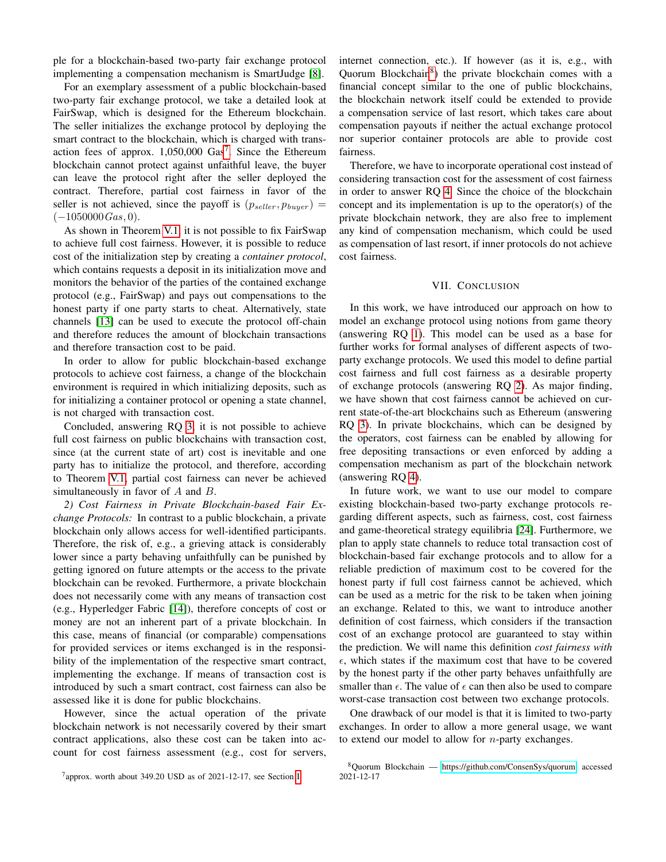ple for a blockchain-based two-party fair exchange protocol implementing a compensation mechanism is SmartJudge [\[8\]](#page-8-7).

For an exemplary assessment of a public blockchain-based two-party fair exchange protocol, we take a detailed look at FairSwap, which is designed for the Ethereum blockchain. The seller initializes the exchange protocol by deploying the smart contract to the blockchain, which is charged with transaction fees of approx.  $1,050,000$  Gas<sup>[7](#page-7-1)</sup>. Since the Ethereum blockchain cannot protect against unfaithful leave, the buyer can leave the protocol right after the seller deployed the contract. Therefore, partial cost fairness in favor of the seller is not achieved, since the payoff is  $(p_{\textit{selfer}}, p_{\textit{burger}})$  =  $(-1050000 Gas, 0).$ 

As shown in Theorem [V.1,](#page-5-5) it is not possible to fix FairSwap to achieve full cost fairness. However, it is possible to reduce cost of the initialization step by creating a *container protocol*, which contains requests a deposit in its initialization move and monitors the behavior of the parties of the contained exchange protocol (e.g., FairSwap) and pays out compensations to the honest party if one party starts to cheat. Alternatively, state channels [\[13\]](#page-8-11) can be used to execute the protocol off-chain and therefore reduces the amount of blockchain transactions and therefore transaction cost to be paid.

In order to allow for public blockchain-based exchange protocols to achieve cost fairness, a change of the blockchain environment is required in which initializing deposits, such as for initializing a container protocol or opening a state channel, is not charged with transaction cost.

Concluded, answering RQ [3,](#page-1-5) it is not possible to achieve full cost fairness on public blockchains with transaction cost, since (at the current state of art) cost is inevitable and one party has to initialize the protocol, and therefore, according to Theorem [V.1,](#page-5-5) partial cost fairness can never be achieved simultaneously in favor of A and B.

*2) Cost Fairness in Private Blockchain-based Fair Exchange Protocols:* In contrast to a public blockchain, a private blockchain only allows access for well-identified participants. Therefore, the risk of, e.g., a grieving attack is considerably lower since a party behaving unfaithfully can be punished by getting ignored on future attempts or the access to the private blockchain can be revoked. Furthermore, a private blockchain does not necessarily come with any means of transaction cost (e.g., Hyperledger Fabric [\[14\]](#page-8-12)), therefore concepts of cost or money are not an inherent part of a private blockchain. In this case, means of financial (or comparable) compensations for provided services or items exchanged is in the responsibility of the implementation of the respective smart contract, implementing the exchange. If means of transaction cost is introduced by such a smart contract, cost fairness can also be assessed like it is done for public blockchains.

However, since the actual operation of the private blockchain network is not necessarily covered by their smart contract applications, also these cost can be taken into account for cost fairness assessment (e.g., cost for servers,

<span id="page-7-1"></span><sup>7</sup>approx. worth about 349.20 USD as of 2021-12-17, see Section [I](#page-0-4)

internet connection, etc.). If however (as it is, e.g., with Quorum Blockchain<sup>[8](#page-7-2)</sup>) the private blockchain comes with a financial concept similar to the one of public blockchains, the blockchain network itself could be extended to provide a compensation service of last resort, which takes care about compensation payouts if neither the actual exchange protocol nor superior container protocols are able to provide cost fairness.

Therefore, we have to incorporate operational cost instead of considering transaction cost for the assessment of cost fairness in order to answer RQ [4.](#page-1-6) Since the choice of the blockchain concept and its implementation is up to the operator(s) of the private blockchain network, they are also free to implement any kind of compensation mechanism, which could be used as compensation of last resort, if inner protocols do not achieve cost fairness.

#### VII. CONCLUSION

<span id="page-7-0"></span>In this work, we have introduced our approach on how to model an exchange protocol using notions from game theory (answering RQ [1\)](#page-1-3). This model can be used as a base for further works for formal analyses of different aspects of twoparty exchange protocols. We used this model to define partial cost fairness and full cost fairness as a desirable property of exchange protocols (answering RQ [2\)](#page-1-4). As major finding, we have shown that cost fairness cannot be achieved on current state-of-the-art blockchains such as Ethereum (answering RQ [3\)](#page-1-5). In private blockchains, which can be designed by the operators, cost fairness can be enabled by allowing for free depositing transactions or even enforced by adding a compensation mechanism as part of the blockchain network (answering RQ [4\)](#page-1-6).

In future work, we want to use our model to compare existing blockchain-based two-party exchange protocols regarding different aspects, such as fairness, cost, cost fairness and game-theoretical strategy equilibria [\[24\]](#page-8-23). Furthermore, we plan to apply state channels to reduce total transaction cost of blockchain-based fair exchange protocols and to allow for a reliable prediction of maximum cost to be covered for the honest party if full cost fairness cannot be achieved, which can be used as a metric for the risk to be taken when joining an exchange. Related to this, we want to introduce another definition of cost fairness, which considers if the transaction cost of an exchange protocol are guaranteed to stay within the prediction. We will name this definition *cost fairness with*  $\epsilon$ , which states if the maximum cost that have to be covered by the honest party if the other party behaves unfaithfully are smaller than  $\epsilon$ . The value of  $\epsilon$  can then also be used to compare worst-case transaction cost between two exchange protocols.

One drawback of our model is that it is limited to two-party exchanges. In order to allow a more general usage, we want to extend our model to allow for  $n$ -party exchanges.

<span id="page-7-2"></span><sup>8</sup>Quorum Blockchain — [https://github.com/ConsenSys/quorum,](https://github.com/ConsenSys/quorum) accessed 2021-12-17